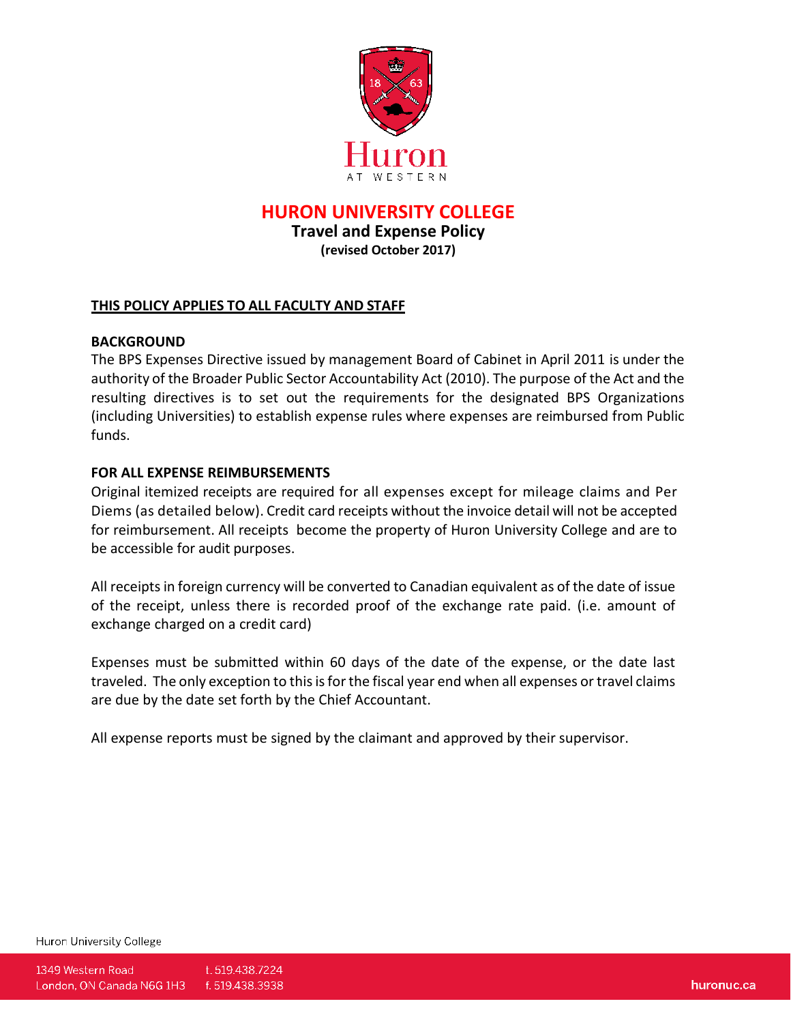

**HURON UNIVERSITY COLLEGE**

**Travel and Expense Policy (revised October 2017)**

# **THIS POLICY APPLIES TO ALL FACULTY AND STAFF**

# **BACKGROUND**

The BPS Expenses Directive issued by management Board of Cabinet in April 2011 is under the authority of the Broader Public Sector Accountability Act (2010). The purpose of the Act and the resulting directives is to set out the requirements for the designated BPS Organizations (including Universities) to establish expense rules where expenses are reimbursed from Public funds.

### **FOR ALL EXPENSE REIMBURSEMENTS**

Original itemized receipts are required for all expenses except for mileage claims and Per Diems (as detailed below). Credit card receipts without the invoice detail will not be accepted for reimbursement. All receipts become the property of Huron University College and are to be accessible for audit purposes.

All receiptsin foreign currency will be converted to Canadian equivalent as of the date of issue of the receipt, unless there is recorded proof of the exchange rate paid. (i.e. amount of exchange charged on a credit card)

Expenses must be submitted within 60 days of the date of the expense, or the date last traveled. The only exception to this is for the fiscal year end when all expenses or travel claims are due by the date set forth by the Chief Accountant.

All expense reports must be signed by the claimant and approved by their supervisor.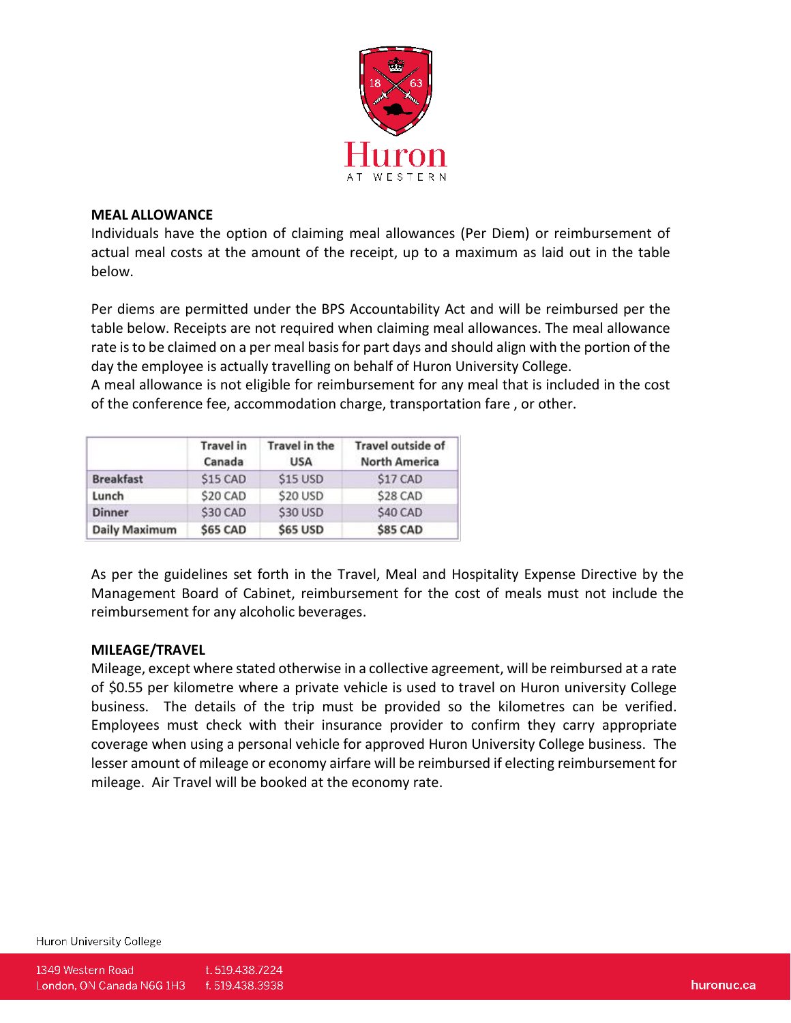

#### **MEAL ALLOWANCE**

Individuals have the option of claiming meal allowances (Per Diem) or reimbursement of actual meal costs at the amount of the receipt, up to a maximum as laid out in the table below.

Per diems are permitted under the BPS Accountability Act and will be reimbursed per the table below. Receipts are not required when claiming meal allowances. The meal allowance rate is to be claimed on a per meal basis for part days and should align with the portion of the day the employee is actually travelling on behalf of Huron University College.

A meal allowance is not eligible for reimbursement for any meal that is included in the cost of the conference fee, accommodation charge, transportation fare , or other.

|                      | <b>Travel</b> in<br>Canada | Travel in the<br><b>USA</b> | Travel outside of<br><b>North America</b> |
|----------------------|----------------------------|-----------------------------|-------------------------------------------|
| <b>Breakfast</b>     | \$15 CAD                   | \$15 USD                    | S17 CAD                                   |
| Lunch                | \$20 CAD                   | \$20 USD                    | \$28 CAD                                  |
| <b>Dinner</b>        | \$30 CAD                   | \$30 USD                    | \$40 CAD                                  |
| <b>Daily Maximum</b> | <b>\$65 CAD</b>            | <b>\$65 USD</b>             | <b>\$85 CAD</b>                           |

As per the guidelines set forth in the Travel, Meal and Hospitality Expense Directive by the Management Board of Cabinet, reimbursement for the cost of meals must not include the reimbursement for any alcoholic beverages.

# **MILEAGE/TRAVEL**

Mileage, except where stated otherwise in a collective agreement, will be reimbursed at a rate of \$0.55 per kilometre where a private vehicle is used to travel on Huron university College business. The details of the trip must be provided so the kilometres can be verified. Employees must check with their insurance provider to confirm they carry appropriate coverage when using a personal vehicle for approved Huron University College business. The lesser amount of mileage or economy airfare will be reimbursed if electing reimbursement for mileage. Air Travel will be booked at the economy rate.